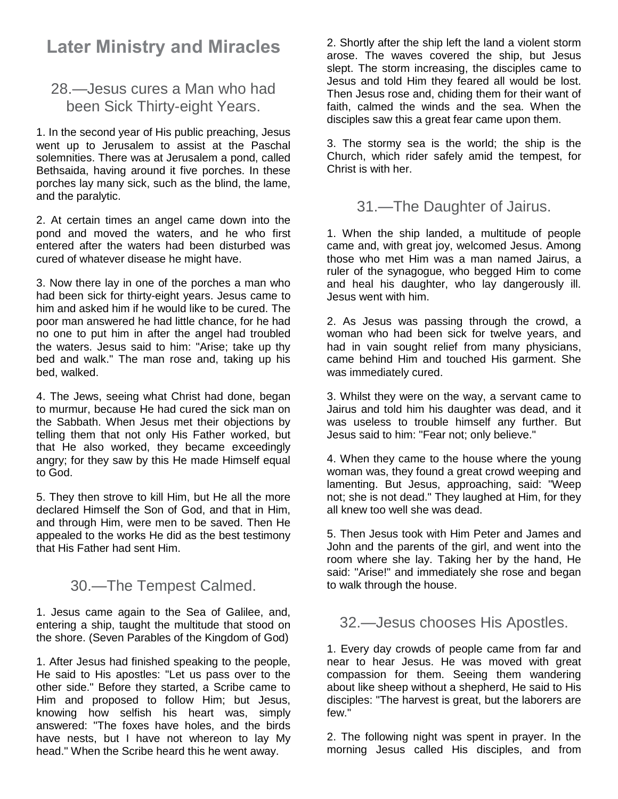# **Later Ministry and Miracles**

## 28.—Jesus cures a Man who had been Sick Thirty-eight Years.

1. In the second year of His public preaching, Jesus went up to Jerusalem to assist at the Paschal solemnities. There was at Jerusalem a pond, called Bethsaida, having around it five porches. In these porches lay many sick, such as the blind, the lame, and the paralytic.

2. At certain times an angel came down into the pond and moved the waters, and he who first entered after the waters had been disturbed was cured of whatever disease he might have.

3. Now there lay in one of the porches a man who had been sick for thirty-eight years. Jesus came to him and asked him if he would like to be cured. The poor man answered he had little chance, for he had no one to put him in after the angel had troubled the waters. Jesus said to him: "Arise; take up thy bed and walk." The man rose and, taking up his bed, walked.

4. The Jews, seeing what Christ had done, began to murmur, because He had cured the sick man on the Sabbath. When Jesus met their objections by telling them that not only His Father worked, but that He also worked, they became exceedingly angry; for they saw by this He made Himself equal to God.

5. They then strove to kill Him, but He all the more declared Himself the Son of God, and that in Him, and through Him, were men to be saved. Then He appealed to the works He did as the best testimony that His Father had sent Him.

## 30.—The Tempest Calmed.

1. Jesus came again to the Sea of Galilee, and, entering a ship, taught the multitude that stood on the shore. (Seven Parables of the Kingdom of God)

1. After Jesus had finished speaking to the people, He said to His apostles: "Let us pass over to the other side." Before they started, a Scribe came to Him and proposed to follow Him; but Jesus, knowing how selfish his heart was, simply answered: "The foxes have holes, and the birds have nests, but I have not whereon to lay My head." When the Scribe heard this he went away.

2. Shortly after the ship left the land a violent storm arose. The waves covered the ship, but Jesus slept. The storm increasing, the disciples came to Jesus and told Him they feared all would be lost. Then Jesus rose and, chiding them for their want of faith, calmed the winds and the sea. When the disciples saw this a great fear came upon them.

3. The stormy sea is the world; the ship is the Church, which rider safely amid the tempest, for Christ is with her.

## 31.—The Daughter of Jairus.

1. When the ship landed, a multitude of people came and, with great joy, welcomed Jesus. Among those who met Him was a man named Jairus, a ruler of the synagogue, who begged Him to come and heal his daughter, who lay dangerously ill. Jesus went with him.

2. As Jesus was passing through the crowd, a woman who had been sick for twelve years, and had in vain sought relief from many physicians, came behind Him and touched His garment. She was immediately cured.

3. Whilst they were on the way, a servant came to Jairus and told him his daughter was dead, and it was useless to trouble himself any further. But Jesus said to him: "Fear not; only believe."

4. When they came to the house where the young woman was, they found a great crowd weeping and lamenting. But Jesus, approaching, said: "Weep not; she is not dead." They laughed at Him, for they all knew too well she was dead.

5. Then Jesus took with Him Peter and James and John and the parents of the girl, and went into the room where she lay. Taking her by the hand, He said: "Arise!" and immediately she rose and began to walk through the house.

#### 32.—Jesus chooses His Apostles.

1. Every day crowds of people came from far and near to hear Jesus. He was moved with great compassion for them. Seeing them wandering about like sheep without a shepherd, He said to His disciples: "The harvest is great, but the laborers are few."

2. The following night was spent in prayer. In the morning Jesus called His disciples, and from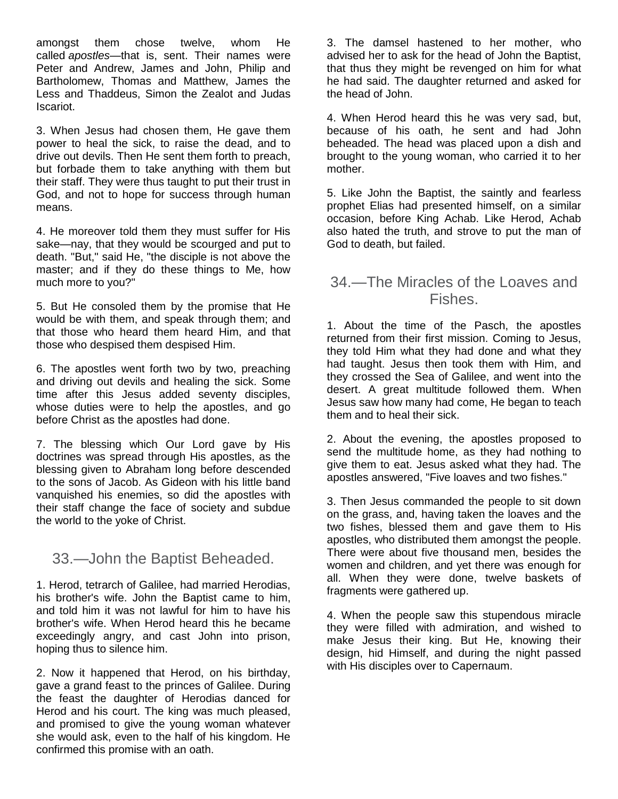amongst them chose twelve, whom He called *apostles*—that is, sent. Their names were Peter and Andrew, James and John, Philip and Bartholomew, Thomas and Matthew, James the Less and Thaddeus, Simon the Zealot and Judas Iscariot.

3. When Jesus had chosen them, He gave them power to heal the sick, to raise the dead, and to drive out devils. Then He sent them forth to preach, but forbade them to take anything with them but their staff. They were thus taught to put their trust in God, and not to hope for success through human means.

4. He moreover told them they must suffer for His sake—nay, that they would be scourged and put to death. "But," said He, "the disciple is not above the master; and if they do these things to Me, how much more to you?"

5. But He consoled them by the promise that He would be with them, and speak through them; and that those who heard them heard Him, and that those who despised them despised Him.

6. The apostles went forth two by two, preaching and driving out devils and healing the sick. Some time after this Jesus added seventy disciples, whose duties were to help the apostles, and go before Christ as the apostles had done.

7. The blessing which Our Lord gave by His doctrines was spread through His apostles, as the blessing given to Abraham long before descended to the sons of Jacob. As Gideon with his little band vanquished his enemies, so did the apostles with their staff change the face of society and subdue the world to the yoke of Christ.

#### 33.—John the Baptist Beheaded.

1. Herod, tetrarch of Galilee, had married Herodias, his brother's wife. John the Baptist came to him, and told him it was not lawful for him to have his brother's wife. When Herod heard this he became exceedingly angry, and cast John into prison, hoping thus to silence him.

2. Now it happened that Herod, on his birthday, gave a grand feast to the princes of Galilee. During the feast the daughter of Herodias danced for Herod and his court. The king was much pleased, and promised to give the young woman whatever she would ask, even to the half of his kingdom. He confirmed this promise with an oath.

3. The damsel hastened to her mother, who advised her to ask for the head of John the Baptist, that thus they might be revenged on him for what he had said. The daughter returned and asked for the head of John.

4. When Herod heard this he was very sad, but, because of his oath, he sent and had John beheaded. The head was placed upon a dish and brought to the young woman, who carried it to her mother.

5. Like John the Baptist, the saintly and fearless prophet Elias had presented himself, on a similar occasion, before King Achab. Like Herod, Achab also hated the truth, and strove to put the man of God to death, but failed.

#### 34.—The Miracles of the Loaves and Fishes.

1. About the time of the Pasch, the apostles returned from their first mission. Coming to Jesus, they told Him what they had done and what they had taught. Jesus then took them with Him, and they crossed the Sea of Galilee, and went into the desert. A great multitude followed them. When Jesus saw how many had come, He began to teach them and to heal their sick.

2. About the evening, the apostles proposed to send the multitude home, as they had nothing to give them to eat. Jesus asked what they had. The apostles answered, "Five loaves and two fishes."

3. Then Jesus commanded the people to sit down on the grass, and, having taken the loaves and the two fishes, blessed them and gave them to His apostles, who distributed them amongst the people. There were about five thousand men, besides the women and children, and yet there was enough for all. When they were done, twelve baskets of fragments were gathered up.

4. When the people saw this stupendous miracle they were filled with admiration, and wished to make Jesus their king. But He, knowing their design, hid Himself, and during the night passed with His disciples over to Capernaum.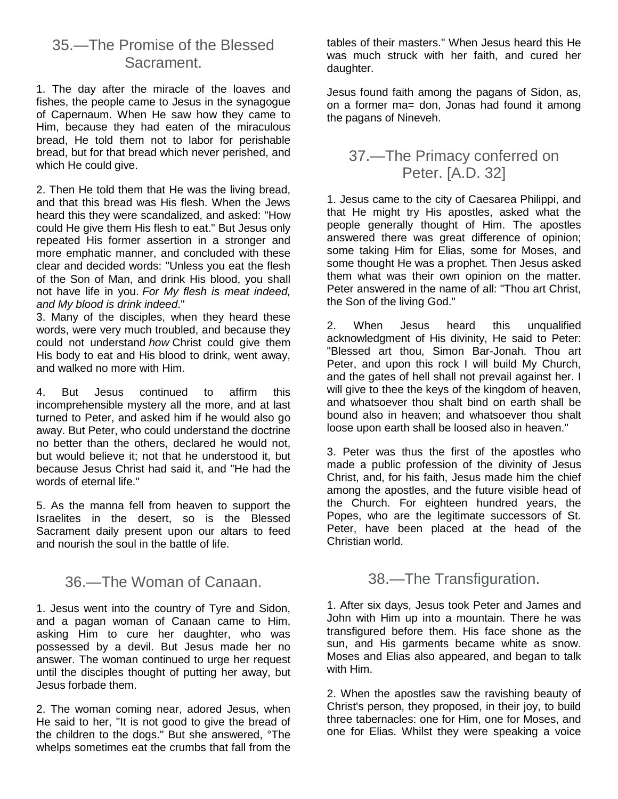## 35.—The Promise of the Blessed Sacrament.

1. The day after the miracle of the loaves and fishes, the people came to Jesus in the synagogue of Capernaum. When He saw how they came to Him, because they had eaten of the miraculous bread, He told them not to labor for perishable bread, but for that bread which never perished, and which He could give.

2. Then He told them that He was the living bread, and that this bread was His flesh. When the Jews heard this they were scandalized, and asked: "How could He give them His flesh to eat." But Jesus only repeated His former assertion in a stronger and more emphatic manner, and concluded with these clear and decided words: "Unless you eat the flesh of the Son of Man, and drink His blood, you shall not have life in you. *For My flesh is meat indeed, and My blood is drink indeed*."

3. Many of the disciples, when they heard these words, were very much troubled, and because they could not understand *how* Christ could give them His body to eat and His blood to drink, went away, and walked no more with Him.

4. But Jesus continued to affirm this incomprehensible mystery all the more, and at last turned to Peter, and asked him if he would also go away. But Peter, who could understand the doctrine no better than the others, declared he would not, but would believe it; not that he understood it, but because Jesus Christ had said it, and "He had the words of eternal life."

5. As the manna fell from heaven to support the Israelites in the desert, so is the Blessed Sacrament daily present upon our altars to feed and nourish the soul in the battle of life.

## 36.—The Woman of Canaan.

1. Jesus went into the country of Tyre and Sidon, and a pagan woman of Canaan came to Him, asking Him to cure her daughter, who was possessed by a devil. But Jesus made her no answer. The woman continued to urge her request until the disciples thought of putting her away, but Jesus forbade them.

2. The woman coming near, adored Jesus, when He said to her, "It is not good to give the bread of the children to the dogs." But she answered, °The whelps sometimes eat the crumbs that fall from the

tables of their masters." When Jesus heard this He was much struck with her faith, and cured her daughter.

Jesus found faith among the pagans of Sidon, as, on a former ma= don, Jonas had found it among the pagans of Nineveh.

## 37.—The Primacy conferred on Peter. [A.D. 32]

1. Jesus came to the city of Caesarea Philippi, and that He might try His apostles, asked what the people generally thought of Him. The apostles answered there was great difference of opinion; some taking Him for Elias, some for Moses, and some thought He was a prophet. Then Jesus asked them what was their own opinion on the matter. Peter answered in the name of all: "Thou art Christ, the Son of the living God."

2. When Jesus heard this unqualified acknowledgment of His divinity, He said to Peter: "Blessed art thou, Simon Bar-Jonah. Thou art Peter, and upon this rock I will build My Church, and the gates of hell shall not prevail against her. I will give to thee the keys of the kingdom of heaven, and whatsoever thou shalt bind on earth shall be bound also in heaven; and whatsoever thou shalt loose upon earth shall be loosed also in heaven."

3. Peter was thus the first of the apostles who made a public profession of the divinity of Jesus Christ, and, for his faith, Jesus made him the chief among the apostles, and the future visible head of the Church. For eighteen hundred years, the Popes, who are the legitimate successors of St. Peter, have been placed at the head of the Christian world.

#### 38.—The Transfiguration.

1. After six days, Jesus took Peter and James and John with Him up into a mountain. There he was transfigured before them. His face shone as the sun, and His garments became white as snow. Moses and Elias also appeared, and began to talk with Him.

2. When the apostles saw the ravishing beauty of Christ's person, they proposed, in their joy, to build three tabernacles: one for Him, one for Moses, and one for Elias. Whilst they were speaking a voice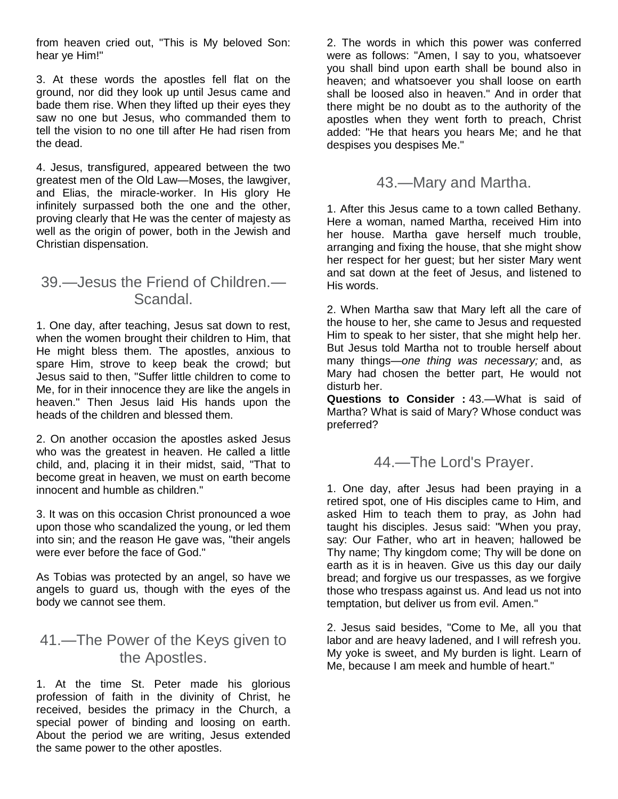from heaven cried out, "This is My beloved Son: hear ye Him!"

3. At these words the apostles fell flat on the ground, nor did they look up until Jesus came and bade them rise. When they lifted up their eyes they saw no one but Jesus, who commanded them to tell the vision to no one till after He had risen from the dead.

4. Jesus, transfigured, appeared between the two greatest men of the Old Law—Moses, the lawgiver, and Elias, the miracle-worker. In His glory He infinitely surpassed both the one and the other, proving clearly that He was the center of majesty as well as the origin of power, both in the Jewish and Christian dispensation.

#### 39.—Jesus the Friend of Children.— Scandal.

1. One day, after teaching, Jesus sat down to rest, when the women brought their children to Him, that He might bless them. The apostles, anxious to spare Him, strove to keep beak the crowd; but Jesus said to then, "Suffer little children to come to Me, for in their innocence they are like the angels in heaven." Then Jesus laid His hands upon the heads of the children and blessed them.

2. On another occasion the apostles asked Jesus who was the greatest in heaven. He called a little child, and, placing it in their midst, said, "That to become great in heaven, we must on earth become innocent and humble as children."

3. It was on this occasion Christ pronounced a woe upon those who scandalized the young, or led them into sin; and the reason He gave was, "their angels were ever before the face of God."

As Tobias was protected by an angel, so have we angels to guard us, though with the eyes of the body we cannot see them.

## 41.—The Power of the Keys given to the Apostles.

1. At the time St. Peter made his glorious profession of faith in the divinity of Christ, he received, besides the primacy in the Church, a special power of binding and loosing on earth. About the period we are writing, Jesus extended the same power to the other apostles.

2. The words in which this power was conferred were as follows: "Amen, I say to you, whatsoever you shall bind upon earth shall be bound also in heaven; and whatsoever you shall loose on earth shall be loosed also in heaven." And in order that there might be no doubt as to the authority of the apostles when they went forth to preach, Christ added: "He that hears you hears Me; and he that despises you despises Me."

#### 43.—Mary and Martha.

1. After this Jesus came to a town called Bethany. Here a woman, named Martha, received Him into her house. Martha gave herself much trouble, arranging and fixing the house, that she might show her respect for her guest; but her sister Mary went and sat down at the feet of Jesus, and listened to His words.

2. When Martha saw that Mary left all the care of the house to her, she came to Jesus and requested Him to speak to her sister, that she might help her. But Jesus told Martha not to trouble herself about many things—*one thing was necessary;* and, as Mary had chosen the better part, He would not disturb her.

**Questions to Consider :** 43.—What is said of Martha? What is said of Mary? Whose conduct was preferred?

## 44.—The Lord's Prayer.

1. One day, after Jesus had been praying in a retired spot, one of His disciples came to Him, and asked Him to teach them to pray, as John had taught his disciples. Jesus said: "When you pray, say: Our Father, who art in heaven; hallowed be Thy name; Thy kingdom come; Thy will be done on earth as it is in heaven. Give us this day our daily bread; and forgive us our trespasses, as we forgive those who trespass against us. And lead us not into temptation, but deliver us from evil. Amen."

2. Jesus said besides, "Come to Me, all you that labor and are heavy ladened, and I will refresh you. My yoke is sweet, and My burden is light. Learn of Me, because I am meek and humble of heart."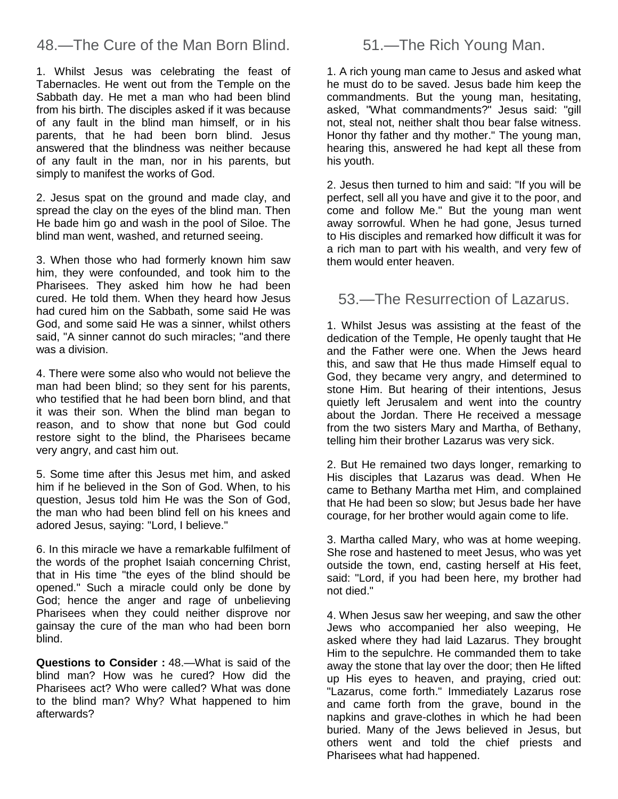## 48.—The Cure of the Man Born Blind.

1. Whilst Jesus was celebrating the feast of Tabernacles. He went out from the Temple on the Sabbath day. He met a man who had been blind from his birth. The disciples asked if it was because of any fault in the blind man himself, or in his parents, that he had been born blind. Jesus answered that the blindness was neither because of any fault in the man, nor in his parents, but simply to manifest the works of God.

2. Jesus spat on the ground and made clay, and spread the clay on the eyes of the blind man. Then He bade him go and wash in the pool of Siloe. The blind man went, washed, and returned seeing.

3. When those who had formerly known him saw him, they were confounded, and took him to the Pharisees. They asked him how he had been cured. He told them. When they heard how Jesus had cured him on the Sabbath, some said He was God, and some said He was a sinner, whilst others said, "A sinner cannot do such miracles; "and there was a division.

4. There were some also who would not believe the man had been blind; so they sent for his parents, who testified that he had been born blind, and that it was their son. When the blind man began to reason, and to show that none but God could restore sight to the blind, the Pharisees became very angry, and cast him out.

5. Some time after this Jesus met him, and asked him if he believed in the Son of God. When, to his question, Jesus told him He was the Son of God, the man who had been blind fell on his knees and adored Jesus, saying: "Lord, I believe."

6. In this miracle we have a remarkable fulfilment of the words of the prophet Isaiah concerning Christ, that in His time "the eyes of the blind should be opened." Such a miracle could only be done by God; hence the anger and rage of unbelieving Pharisees when they could neither disprove nor gainsay the cure of the man who had been born blind.

**Questions to Consider :** 48.—What is said of the blind man? How was he cured? How did the Pharisees act? Who were called? What was done to the blind man? Why? What happened to him afterwards?

## 51.—The Rich Young Man.

1. A rich young man came to Jesus and asked what he must do to be saved. Jesus bade him keep the commandments. But the young man, hesitating, asked, "What commandments?" Jesus said: "gill not, steal not, neither shalt thou bear false witness. Honor thy father and thy mother." The young man, hearing this, answered he had kept all these from his youth.

2. Jesus then turned to him and said: "If you will be perfect, sell all you have and give it to the poor, and come and follow Me." But the young man went away sorrowful. When he had gone, Jesus turned to His disciples and remarked how difficult it was for a rich man to part with his wealth, and very few of them would enter heaven.

53.—The Resurrection of Lazarus.

1. Whilst Jesus was assisting at the feast of the dedication of the Temple, He openly taught that He and the Father were one. When the Jews heard this, and saw that He thus made Himself equal to God, they became very angry, and determined to stone Him. But hearing of their intentions, Jesus quietly left Jerusalem and went into the country about the Jordan. There He received a message from the two sisters Mary and Martha, of Bethany, telling him their brother Lazarus was very sick.

2. But He remained two days longer, remarking to His disciples that Lazarus was dead. When He came to Bethany Martha met Him, and complained that He had been so slow; but Jesus bade her have courage, for her brother would again come to life.

3. Martha called Mary, who was at home weeping. She rose and hastened to meet Jesus, who was yet outside the town, end, casting herself at His feet, said: "Lord, if you had been here, my brother had not died."

4. When Jesus saw her weeping, and saw the other Jews who accompanied her also weeping, He asked where they had laid Lazarus. They brought Him to the sepulchre. He commanded them to take away the stone that lay over the door; then He lifted up His eyes to heaven, and praying, cried out: "Lazarus, come forth." Immediately Lazarus rose and came forth from the grave, bound in the napkins and grave-clothes in which he had been buried. Many of the Jews believed in Jesus, but others went and told the chief priests and Pharisees what had happened.